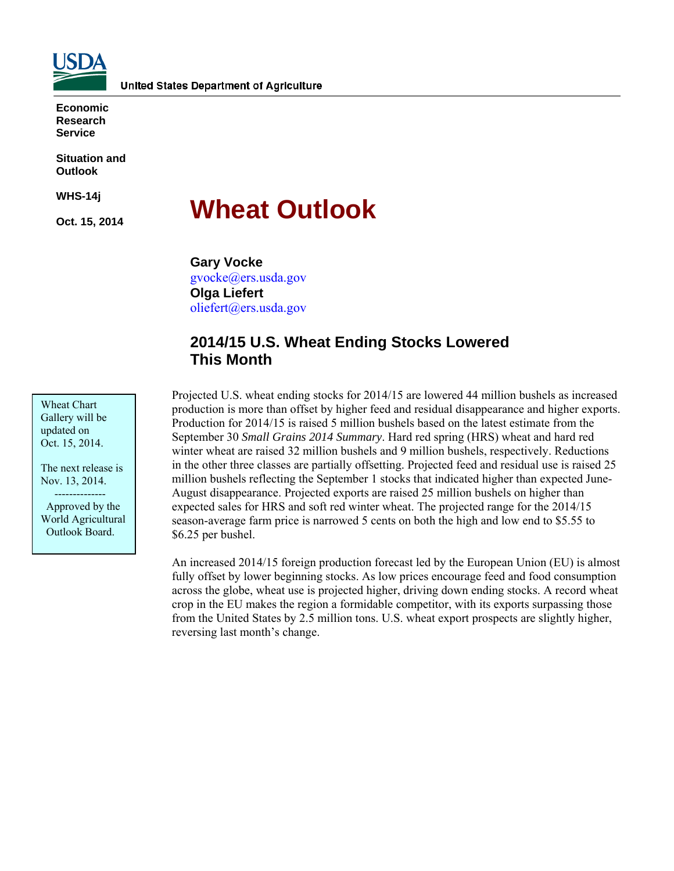

**Economic Research Service** 

**Situation and Outlook** 

**WHS-14j** 

**Oct. 15, 2014** 

# **Wheat Outlook**

**Gary Vocke**  gvocke@ers.usda.gov **Olga Liefert**  oliefert@ers.usda.gov

# **2014/15 U.S. Wheat Ending Stocks Lowered This Month**

Projected U.S. wheat ending stocks for 2014/15 are lowered 44 million bushels as increased production is more than offset by higher feed and residual disappearance and higher exports. Production for 2014/15 is raised 5 million bushels based on the latest estimate from the September 30 *Small Grains 2014 Summary*. Hard red spring (HRS) wheat and hard red winter wheat are raised 32 million bushels and 9 million bushels, respectively. Reductions in the other three classes are partially offsetting. Projected feed and residual use is raised 25 million bushels reflecting the September 1 stocks that indicated higher than expected June-August disappearance. Projected exports are raised 25 million bushels on higher than expected sales for HRS and soft red winter wheat. The projected range for the 2014/15 season-average farm price is narrowed 5 cents on both the high and low end to \$5.55 to \$6.25 per bushel.

An increased 2014/15 foreign production forecast led by the European Union (EU) is almost fully offset by lower beginning stocks. As low prices encourage feed and food consumption across the globe, wheat use is projected higher, driving down ending stocks. A record wheat crop in the EU makes the region a formidable competitor, with its exports surpassing those from the United States by 2.5 million tons. U.S. wheat export prospects are slightly higher, reversing last month's change.

Wheat Chart Gallery will be updated on Oct. 15, 2014.

The next release is Nov. 13, 2014.

 -------------- Approved by the World Agricultural Outlook Board.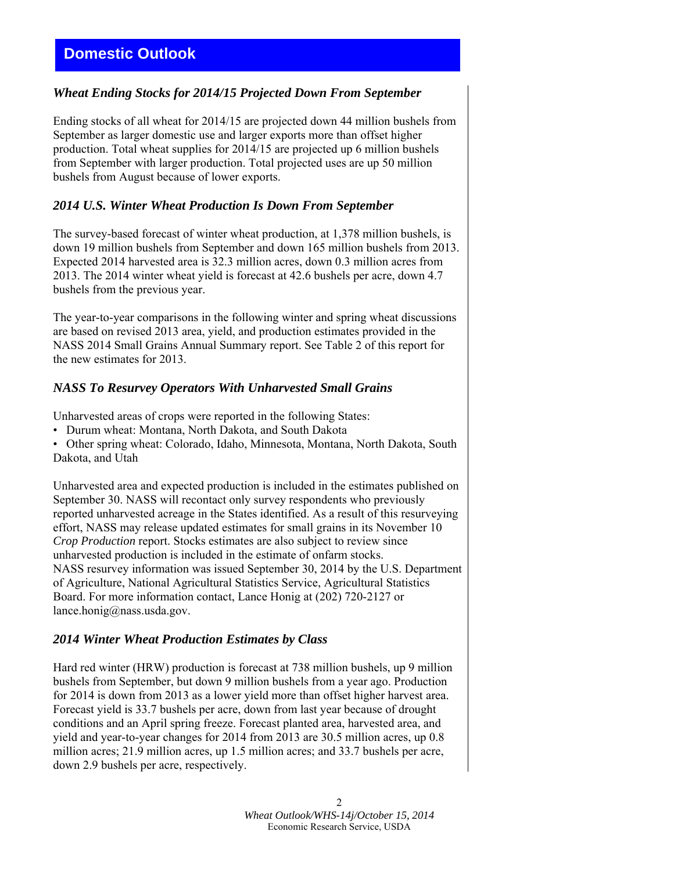# **Domestic Outlook**

### *Wheat Ending Stocks for 2014/15 Projected Down From September*

Ending stocks of all wheat for 2014/15 are projected down 44 million bushels from September as larger domestic use and larger exports more than offset higher production. Total wheat supplies for 2014/15 are projected up 6 million bushels from September with larger production. Total projected uses are up 50 million bushels from August because of lower exports.

### *2014 U.S. Winter Wheat Production Is Down From September*

The survey-based forecast of winter wheat production, at 1,378 million bushels, is down 19 million bushels from September and down 165 million bushels from 2013. Expected 2014 harvested area is 32.3 million acres, down 0.3 million acres from 2013. The 2014 winter wheat yield is forecast at 42.6 bushels per acre, down 4.7 bushels from the previous year.

The year-to-year comparisons in the following winter and spring wheat discussions are based on revised 2013 area, yield, and production estimates provided in the NASS 2014 Small Grains Annual Summary report. See Table 2 of this report for the new estimates for 2013.

### *NASS To Resurvey Operators With Unharvested Small Grains*

Unharvested areas of crops were reported in the following States:

• Durum wheat: Montana, North Dakota, and South Dakota

• Other spring wheat: Colorado, Idaho, Minnesota, Montana, North Dakota, South Dakota, and Utah

Unharvested area and expected production is included in the estimates published on September 30. NASS will recontact only survey respondents who previously reported unharvested acreage in the States identified. As a result of this resurveying effort, NASS may release updated estimates for small grains in its November 10 *Crop Production* report. Stocks estimates are also subject to review since unharvested production is included in the estimate of onfarm stocks. NASS resurvey information was issued September 30, 2014 by the U.S. Department of Agriculture, National Agricultural Statistics Service, Agricultural Statistics Board. For more information contact, Lance Honig at (202) 720-2127 or lance.honig@nass.usda.gov.

### *2014 Winter Wheat Production Estimates by Class*

Hard red winter (HRW) production is forecast at 738 million bushels, up 9 million bushels from September, but down 9 million bushels from a year ago. Production for 2014 is down from 2013 as a lower yield more than offset higher harvest area. Forecast yield is 33.7 bushels per acre, down from last year because of drought conditions and an April spring freeze. Forecast planted area, harvested area, and yield and year-to-year changes for 2014 from 2013 are 30.5 million acres, up 0.8 million acres; 21.9 million acres, up 1.5 million acres; and 33.7 bushels per acre, down 2.9 bushels per acre, respectively.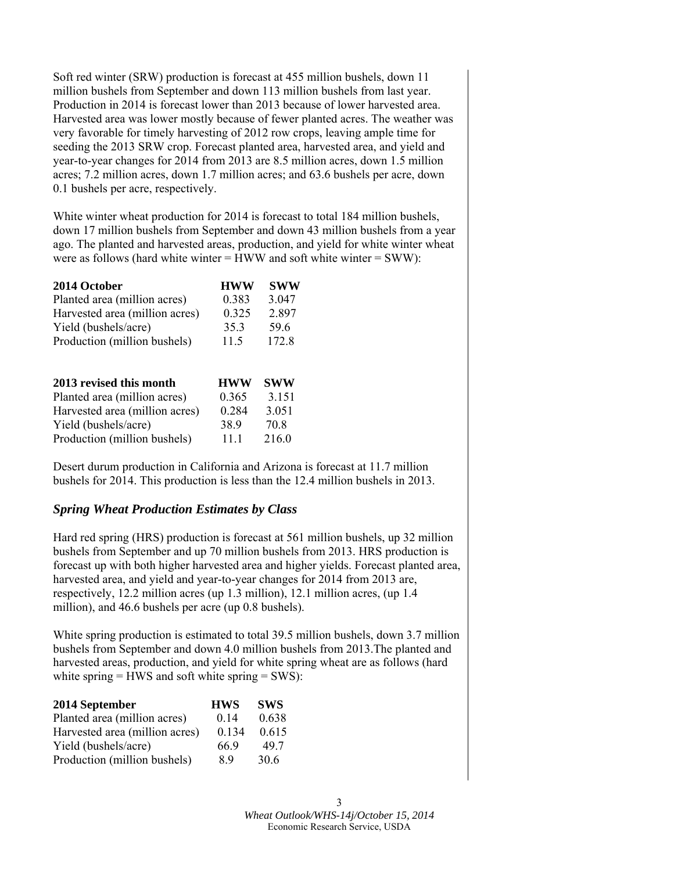Soft red winter (SRW) production is forecast at 455 million bushels, down 11 million bushels from September and down 113 million bushels from last year. Production in 2014 is forecast lower than 2013 because of lower harvested area. Harvested area was lower mostly because of fewer planted acres. The weather was very favorable for timely harvesting of 2012 row crops, leaving ample time for seeding the 2013 SRW crop. Forecast planted area, harvested area, and yield and year-to-year changes for 2014 from 2013 are 8.5 million acres, down 1.5 million acres; 7.2 million acres, down 1.7 million acres; and 63.6 bushels per acre, down 0.1 bushels per acre, respectively.

White winter wheat production for 2014 is forecast to total 184 million bushels, down 17 million bushels from September and down 43 million bushels from a year ago. The planted and harvested areas, production, and yield for white winter wheat were as follows (hard white winter  $=$  HWW and soft white winter  $=$  SWW):

| 2014 October                   | <b>HWW</b> | <b>SWW</b> |
|--------------------------------|------------|------------|
| Planted area (million acres)   | 0.383      | 3.047      |
| Harvested area (million acres) | 0.325      | 2.897      |
| Yield (bushels/acre)           | 35.3       | 59.6       |
| Production (million bushels)   | 11.5       | 172.8      |
| 2013 revised this month        | <b>HWW</b> | 8WW        |

| <b>2015 revised this month</b> | пw w  | O VY VY |
|--------------------------------|-------|---------|
| Planted area (million acres)   | 0.365 | 3.151   |
| Harvested area (million acres) | 0.284 | 3.051   |
| Yield (bushels/acre)           | 389   | 70 8    |
| Production (million bushels)   | 11 1  | 216.0   |
|                                |       |         |

Desert durum production in California and Arizona is forecast at 11.7 million bushels for 2014. This production is less than the 12.4 million bushels in 2013.

# *Spring Wheat Production Estimates by Class*

Hard red spring (HRS) production is forecast at 561 million bushels, up 32 million bushels from September and up 70 million bushels from 2013. HRS production is forecast up with both higher harvested area and higher yields. Forecast planted area, harvested area, and yield and year-to-year changes for 2014 from 2013 are, respectively, 12.2 million acres (up 1.3 million), 12.1 million acres, (up 1.4 million), and 46.6 bushels per acre (up 0.8 bushels).

White spring production is estimated to total 39.5 million bushels, down 3.7 million bushels from September and down 4.0 million bushels from 2013.The planted and harvested areas, production, and yield for white spring wheat are as follows (hard white spring  $=$  HWS and soft white spring  $=$  SWS):

| 2014 September                 | <b>HWS</b> | <b>SWS</b> |
|--------------------------------|------------|------------|
| Planted area (million acres)   | 014        | 0.638      |
| Harvested area (million acres) | 0.134      | 0.615      |
| Yield (bushels/acre)           | 66.9       | 497        |
| Production (million bushels)   | 89         | 30.6       |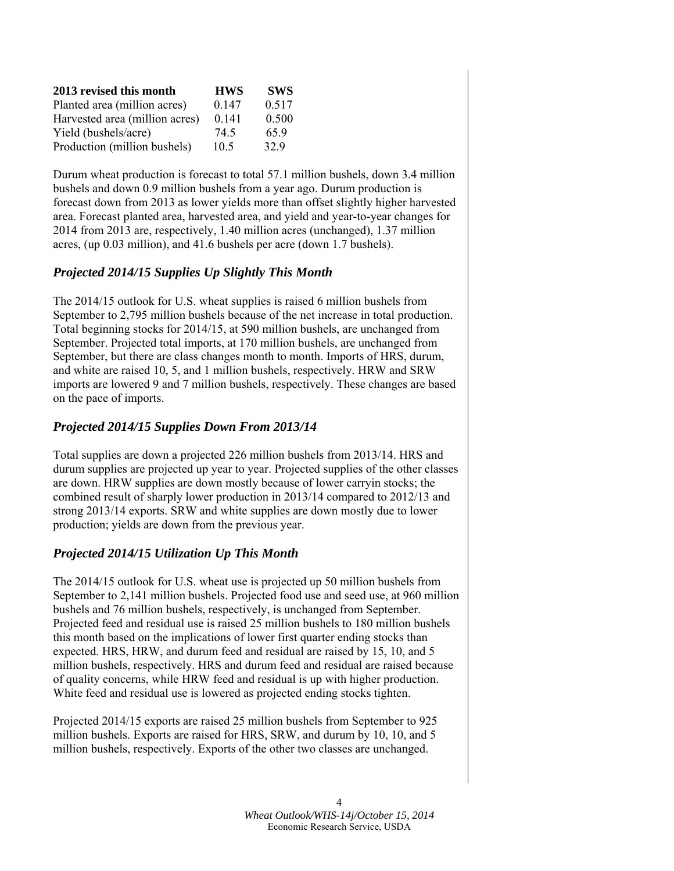| 2013 revised this month        | <b>HWS</b>      | <b>SWS</b> |
|--------------------------------|-----------------|------------|
| Planted area (million acres)   | 0.147           | 0.517      |
| Harvested area (million acres) | 0.141           | 0.500      |
| Yield (bushels/acre)           | 74.5            | 659        |
| Production (million bushels)   | 10 <sub>5</sub> | 329        |

Durum wheat production is forecast to total 57.1 million bushels, down 3.4 million bushels and down 0.9 million bushels from a year ago. Durum production is forecast down from 2013 as lower yields more than offset slightly higher harvested area. Forecast planted area, harvested area, and yield and year-to-year changes for 2014 from 2013 are, respectively, 1.40 million acres (unchanged), 1.37 million acres, (up 0.03 million), and 41.6 bushels per acre (down 1.7 bushels).

# *Projected 2014/15 Supplies Up Slightly This Month*

The 2014/15 outlook for U.S. wheat supplies is raised 6 million bushels from September to 2,795 million bushels because of the net increase in total production. Total beginning stocks for 2014/15, at 590 million bushels, are unchanged from September. Projected total imports, at 170 million bushels, are unchanged from September, but there are class changes month to month. Imports of HRS, durum, and white are raised 10, 5, and 1 million bushels, respectively. HRW and SRW imports are lowered 9 and 7 million bushels, respectively. These changes are based on the pace of imports.

### *Projected 2014/15 Supplies Down From 2013/14*

Total supplies are down a projected 226 million bushels from 2013/14. HRS and durum supplies are projected up year to year. Projected supplies of the other classes are down. HRW supplies are down mostly because of lower carryin stocks; the combined result of sharply lower production in 2013/14 compared to 2012/13 and strong 2013/14 exports. SRW and white supplies are down mostly due to lower production; yields are down from the previous year.

# *Projected 2014/15 Utilization Up This Month*

The 2014/15 outlook for U.S. wheat use is projected up 50 million bushels from September to 2,141 million bushels. Projected food use and seed use, at 960 million bushels and 76 million bushels, respectively, is unchanged from September. Projected feed and residual use is raised 25 million bushels to 180 million bushels this month based on the implications of lower first quarter ending stocks than expected. HRS, HRW, and durum feed and residual are raised by 15, 10, and 5 million bushels, respectively. HRS and durum feed and residual are raised because of quality concerns, while HRW feed and residual is up with higher production. White feed and residual use is lowered as projected ending stocks tighten.

Projected 2014/15 exports are raised 25 million bushels from September to 925 million bushels. Exports are raised for HRS, SRW, and durum by 10, 10, and 5 million bushels, respectively. Exports of the other two classes are unchanged.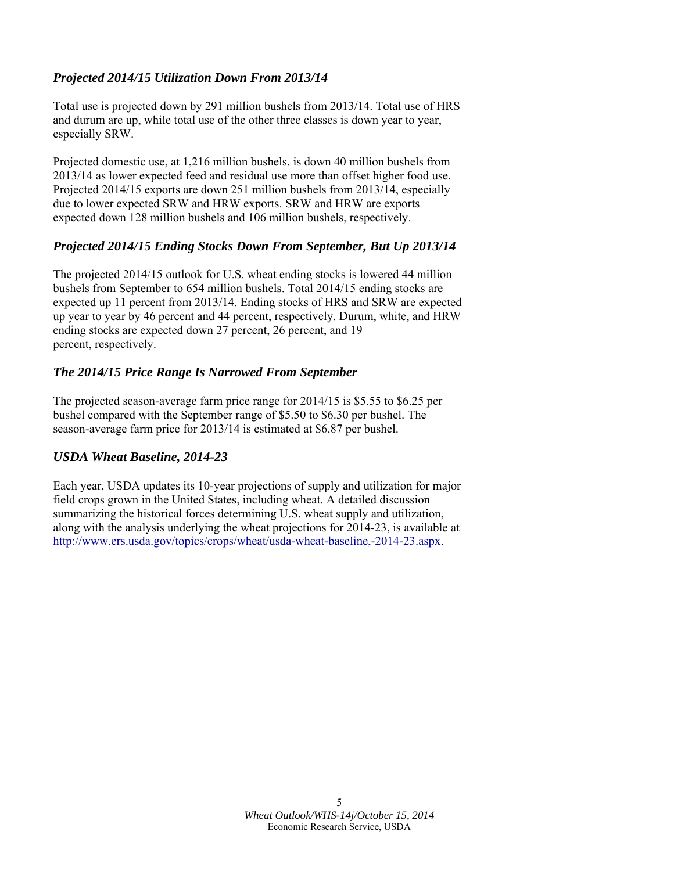# *Projected 2014/15 Utilization Down From 2013/14*

Total use is projected down by 291 million bushels from 2013/14. Total use of HRS and durum are up, while total use of the other three classes is down year to year, especially SRW.

Projected domestic use, at 1,216 million bushels, is down 40 million bushels from 2013/14 as lower expected feed and residual use more than offset higher food use. Projected 2014/15 exports are down 251 million bushels from 2013/14, especially due to lower expected SRW and HRW exports. SRW and HRW are exports expected down 128 million bushels and 106 million bushels, respectively.

# *Projected 2014/15 Ending Stocks Down From September, But Up 2013/14*

The projected 2014/15 outlook for U.S. wheat ending stocks is lowered 44 million bushels from September to 654 million bushels. Total 2014/15 ending stocks are expected up 11 percent from 2013/14. Ending stocks of HRS and SRW are expected up year to year by 46 percent and 44 percent, respectively. Durum, white, and HRW ending stocks are expected down 27 percent, 26 percent, and 19 percent, respectively.

# *The 2014/15 Price Range Is Narrowed From September*

The projected season-average farm price range for 2014/15 is \$5.55 to \$6.25 per bushel compared with the September range of \$5.50 to \$6.30 per bushel. The season-average farm price for 2013/14 is estimated at \$6.87 per bushel.

# *USDA Wheat Baseline, 2014-23*

Each year, USDA updates its 10-year projections of supply and utilization for major field crops grown in the United States, including wheat. A detailed discussion summarizing the historical forces determining U.S. wheat supply and utilization, along with the analysis underlying the wheat projections for 2014-23, is available at http://www.ers.usda.gov/topics/crops/wheat/usda-wheat-baseline,-2014-23.aspx.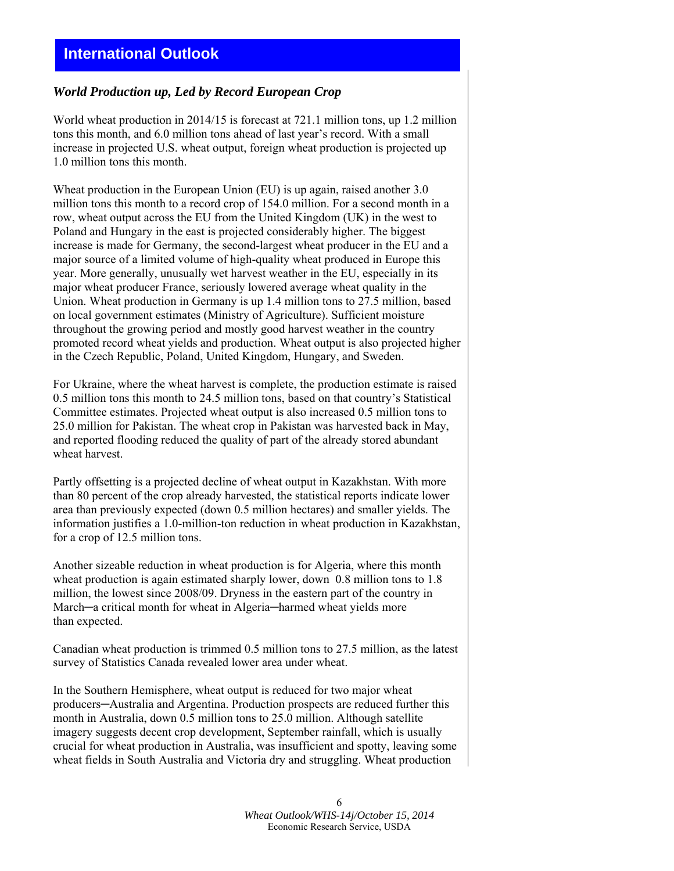### *World Production up, Led by Record European Crop*

World wheat production in 2014/15 is forecast at 721.1 million tons, up 1.2 million tons this month, and 6.0 million tons ahead of last year's record. With a small increase in projected U.S. wheat output, foreign wheat production is projected up 1.0 million tons this month.

Wheat production in the European Union (EU) is up again, raised another 3.0 million tons this month to a record crop of 154.0 million. For a second month in a row, wheat output across the EU from the United Kingdom (UK) in the west to Poland and Hungary in the east is projected considerably higher. The biggest increase is made for Germany, the second-largest wheat producer in the EU and a major source of a limited volume of high-quality wheat produced in Europe this year. More generally, unusually wet harvest weather in the EU, especially in its major wheat producer France, seriously lowered average wheat quality in the Union. Wheat production in Germany is up 1.4 million tons to 27.5 million, based on local government estimates (Ministry of Agriculture). Sufficient moisture throughout the growing period and mostly good harvest weather in the country promoted record wheat yields and production. Wheat output is also projected higher in the Czech Republic, Poland, United Kingdom, Hungary, and Sweden.

For Ukraine, where the wheat harvest is complete, the production estimate is raised 0.5 million tons this month to 24.5 million tons, based on that country's Statistical Committee estimates. Projected wheat output is also increased 0.5 million tons to 25.0 million for Pakistan. The wheat crop in Pakistan was harvested back in May, and reported flooding reduced the quality of part of the already stored abundant wheat harvest.

Partly offsetting is a projected decline of wheat output in Kazakhstan. With more than 80 percent of the crop already harvested, the statistical reports indicate lower area than previously expected (down 0.5 million hectares) and smaller yields. The information justifies a 1.0-million-ton reduction in wheat production in Kazakhstan, for a crop of 12.5 million tons.

Another sizeable reduction in wheat production is for Algeria, where this month wheat production is again estimated sharply lower, down 0.8 million tons to 1.8 million, the lowest since 2008/09. Dryness in the eastern part of the country in March—a critical month for wheat in Algeria—harmed wheat yields more than expected.

Canadian wheat production is trimmed 0.5 million tons to 27.5 million, as the latest survey of Statistics Canada revealed lower area under wheat.

In the Southern Hemisphere, wheat output is reduced for two major wheat producers─Australia and Argentina. Production prospects are reduced further this month in Australia, down 0.5 million tons to 25.0 million. Although satellite imagery suggests decent crop development, September rainfall, which is usually crucial for wheat production in Australia, was insufficient and spotty, leaving some wheat fields in South Australia and Victoria dry and struggling. Wheat production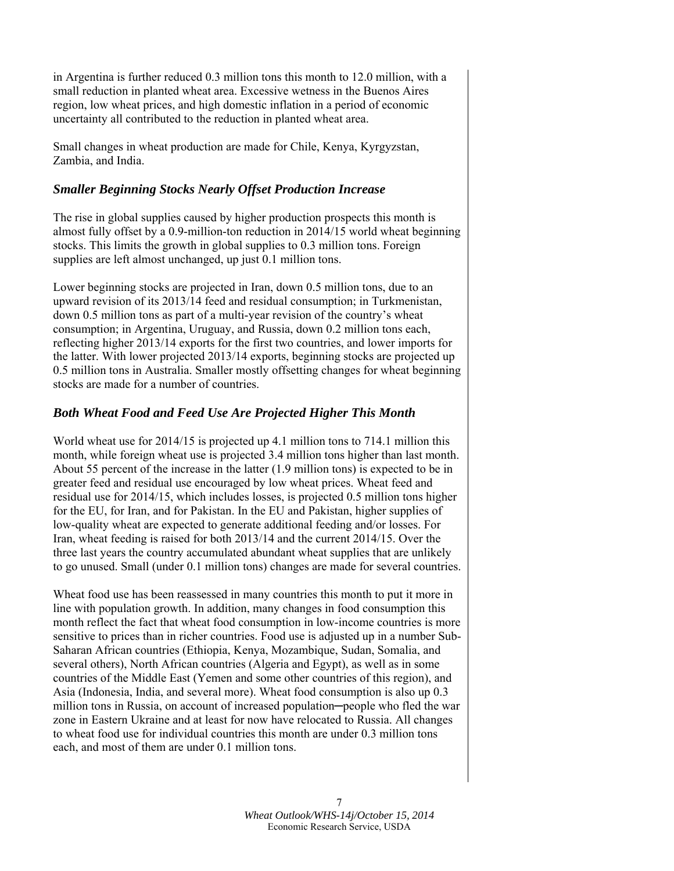in Argentina is further reduced 0.3 million tons this month to 12.0 million, with a small reduction in planted wheat area. Excessive wetness in the Buenos Aires region, low wheat prices, and high domestic inflation in a period of economic uncertainty all contributed to the reduction in planted wheat area.

Small changes in wheat production are made for Chile, Kenya, Kyrgyzstan, Zambia, and India.

# *Smaller Beginning Stocks Nearly Offset Production Increase*

The rise in global supplies caused by higher production prospects this month is almost fully offset by a 0.9-million-ton reduction in 2014/15 world wheat beginning stocks. This limits the growth in global supplies to 0.3 million tons. Foreign supplies are left almost unchanged, up just 0.1 million tons.

Lower beginning stocks are projected in Iran, down 0.5 million tons, due to an upward revision of its 2013/14 feed and residual consumption; in Turkmenistan, down 0.5 million tons as part of a multi-year revision of the country's wheat consumption; in Argentina, Uruguay, and Russia, down 0.2 million tons each, reflecting higher 2013/14 exports for the first two countries, and lower imports for the latter. With lower projected 2013/14 exports, beginning stocks are projected up 0.5 million tons in Australia. Smaller mostly offsetting changes for wheat beginning stocks are made for a number of countries.

# *Both Wheat Food and Feed Use Are Projected Higher This Month*

World wheat use for 2014/15 is projected up 4.1 million tons to 714.1 million this month, while foreign wheat use is projected 3.4 million tons higher than last month. About 55 percent of the increase in the latter (1.9 million tons) is expected to be in greater feed and residual use encouraged by low wheat prices. Wheat feed and residual use for 2014/15, which includes losses, is projected 0.5 million tons higher for the EU, for Iran, and for Pakistan. In the EU and Pakistan, higher supplies of low-quality wheat are expected to generate additional feeding and/or losses. For Iran, wheat feeding is raised for both 2013/14 and the current 2014/15. Over the three last years the country accumulated abundant wheat supplies that are unlikely to go unused. Small (under 0.1 million tons) changes are made for several countries.

Wheat food use has been reassessed in many countries this month to put it more in line with population growth. In addition, many changes in food consumption this month reflect the fact that wheat food consumption in low-income countries is more sensitive to prices than in richer countries. Food use is adjusted up in a number Sub-Saharan African countries (Ethiopia, Kenya, Mozambique, Sudan, Somalia, and several others), North African countries (Algeria and Egypt), as well as in some countries of the Middle East (Yemen and some other countries of this region), and Asia (Indonesia, India, and several more). Wheat food consumption is also up 0.3 million tons in Russia, on account of increased population─people who fled the war zone in Eastern Ukraine and at least for now have relocated to Russia. All changes to wheat food use for individual countries this month are under 0.3 million tons each, and most of them are under 0.1 million tons.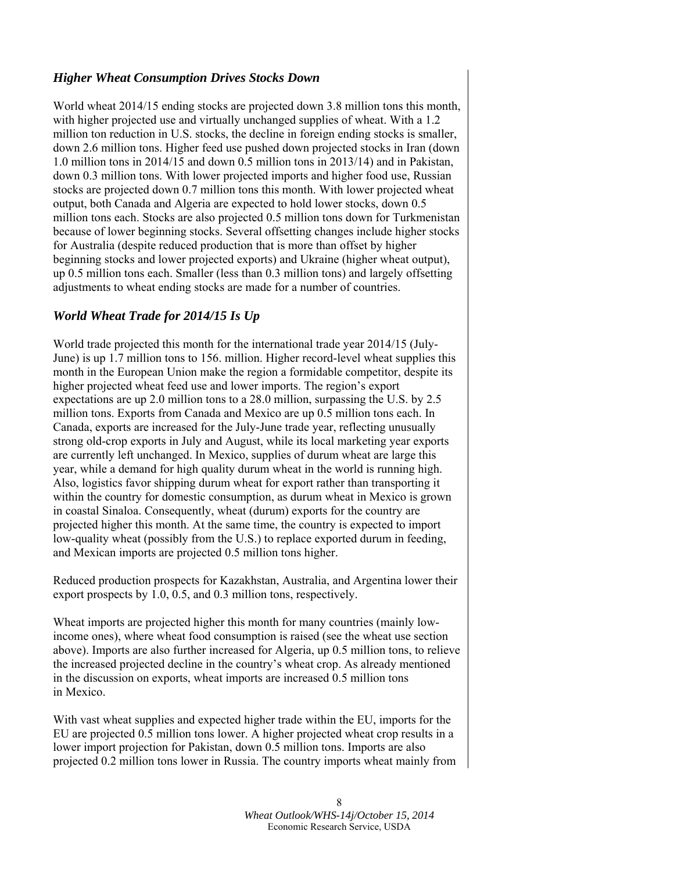### *Higher Wheat Consumption Drives Stocks Down*

World wheat 2014/15 ending stocks are projected down 3.8 million tons this month, with higher projected use and virtually unchanged supplies of wheat. With a 1.2 million ton reduction in U.S. stocks, the decline in foreign ending stocks is smaller, down 2.6 million tons. Higher feed use pushed down projected stocks in Iran (down 1.0 million tons in 2014/15 and down 0.5 million tons in 2013/14) and in Pakistan, down 0.3 million tons. With lower projected imports and higher food use, Russian stocks are projected down 0.7 million tons this month. With lower projected wheat output, both Canada and Algeria are expected to hold lower stocks, down 0.5 million tons each. Stocks are also projected 0.5 million tons down for Turkmenistan because of lower beginning stocks. Several offsetting changes include higher stocks for Australia (despite reduced production that is more than offset by higher beginning stocks and lower projected exports) and Ukraine (higher wheat output), up 0.5 million tons each. Smaller (less than 0.3 million tons) and largely offsetting adjustments to wheat ending stocks are made for a number of countries.

### *World Wheat Trade for 2014/15 Is Up*

World trade projected this month for the international trade year 2014/15 (July-June) is up 1.7 million tons to 156. million. Higher record-level wheat supplies this month in the European Union make the region a formidable competitor, despite its higher projected wheat feed use and lower imports. The region's export expectations are up 2.0 million tons to a 28.0 million, surpassing the U.S. by 2.5 million tons. Exports from Canada and Mexico are up 0.5 million tons each. In Canada, exports are increased for the July-June trade year, reflecting unusually strong old-crop exports in July and August, while its local marketing year exports are currently left unchanged. In Mexico, supplies of durum wheat are large this year, while a demand for high quality durum wheat in the world is running high. Also, logistics favor shipping durum wheat for export rather than transporting it within the country for domestic consumption, as durum wheat in Mexico is grown in coastal Sinaloa. Consequently, wheat (durum) exports for the country are projected higher this month. At the same time, the country is expected to import low-quality wheat (possibly from the U.S.) to replace exported durum in feeding, and Mexican imports are projected 0.5 million tons higher.

Reduced production prospects for Kazakhstan, Australia, and Argentina lower their export prospects by 1.0, 0.5, and 0.3 million tons, respectively.

Wheat imports are projected higher this month for many countries (mainly lowincome ones), where wheat food consumption is raised (see the wheat use section above). Imports are also further increased for Algeria, up 0.5 million tons, to relieve the increased projected decline in the country's wheat crop. As already mentioned in the discussion on exports, wheat imports are increased 0.5 million tons in Mexico.

With vast wheat supplies and expected higher trade within the EU, imports for the EU are projected 0.5 million tons lower. A higher projected wheat crop results in a lower import projection for Pakistan, down 0.5 million tons. Imports are also projected 0.2 million tons lower in Russia. The country imports wheat mainly from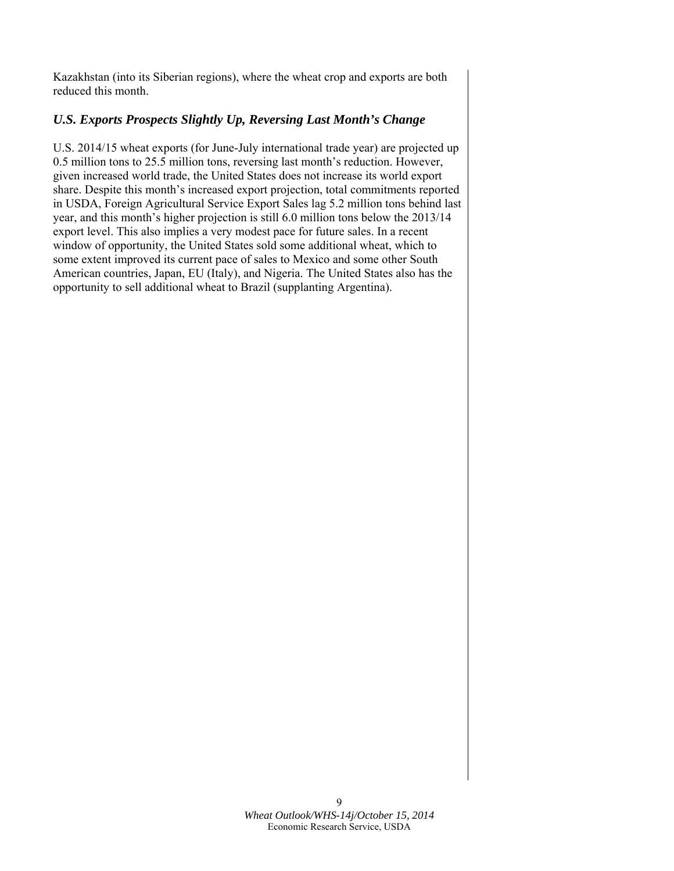Kazakhstan (into its Siberian regions), where the wheat crop and exports are both reduced this month.

# *U.S. Exports Prospects Slightly Up, Reversing Last Month's Change*

U.S. 2014/15 wheat exports (for June-July international trade year) are projected up 0.5 million tons to 25.5 million tons, reversing last month's reduction. However, given increased world trade, the United States does not increase its world export share. Despite this month's increased export projection, total commitments reported in USDA, Foreign Agricultural Service Export Sales lag 5.2 million tons behind last year, and this month's higher projection is still 6.0 million tons below the 2013/14 export level. This also implies a very modest pace for future sales. In a recent window of opportunity, the United States sold some additional wheat, which to some extent improved its current pace of sales to Mexico and some other South American countries, Japan, EU (Italy), and Nigeria. The United States also has the opportunity to sell additional wheat to Brazil (supplanting Argentina).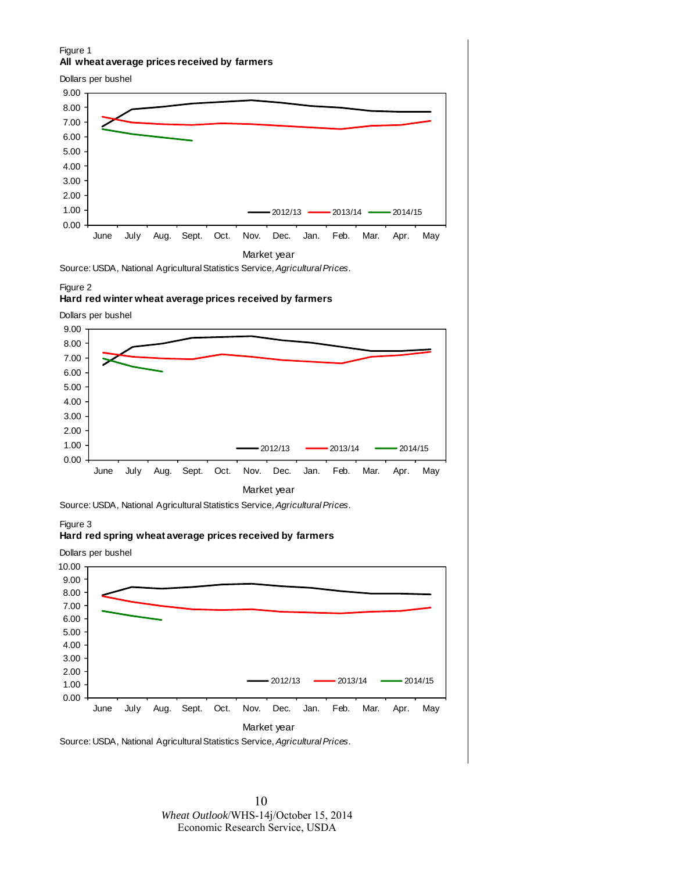#### Figure 1 **All wheat average prices received by farmers**

Dollars per bushel



#### Figure 2

#### **Hard red winter wheat average prices received by farmers**

Dollars per bushel





#### Figure 3

#### **Hard red spring wheat average prices received by farmers**

0.00 1.00 2.00 3.00 4.00 5.00 6.00 7.00 8.00 9.00 10.00 June July Aug. Sept. Oct. Nov. Dec. Jan. Feb. Mar. Apr. May Market year 2012/13 **- 2013/14** - 2014/15 Source: USDA, National Agricultural Statistics Service, *Agricultural Prices*. Dollars per bushel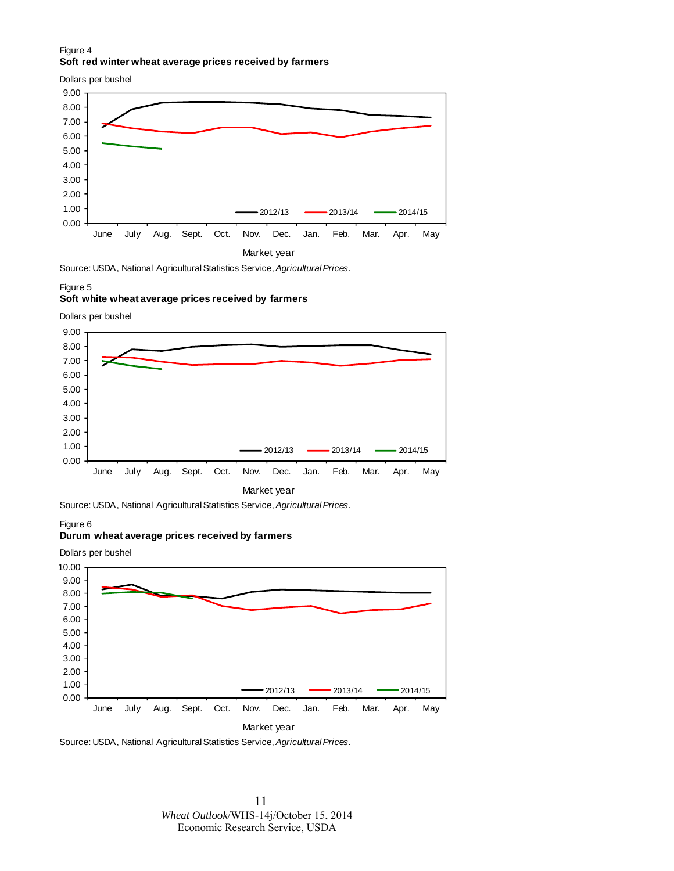#### Figure 4 **Soft red winter wheat average prices received by farmers**

Dollars per bushel



Source: USDA, National Agricultural Statistics Service, *Agricultural Prices*.

#### Figure 5

#### **Soft white wheat average prices received by farmers**

Dollars per bushel





#### Figure 6

#### **Durum wheat average prices received by farmers**

0.00 1.00 2.00 3.00 4.00 5.00 6.00 7.00 8.00 9.00 10.00 June July Aug. Sept. Oct. Nov. Dec. Jan. Feb. Mar. Apr. May Market year 2012/13 **- 2013/14** - 2014/15 Dollars per bushel

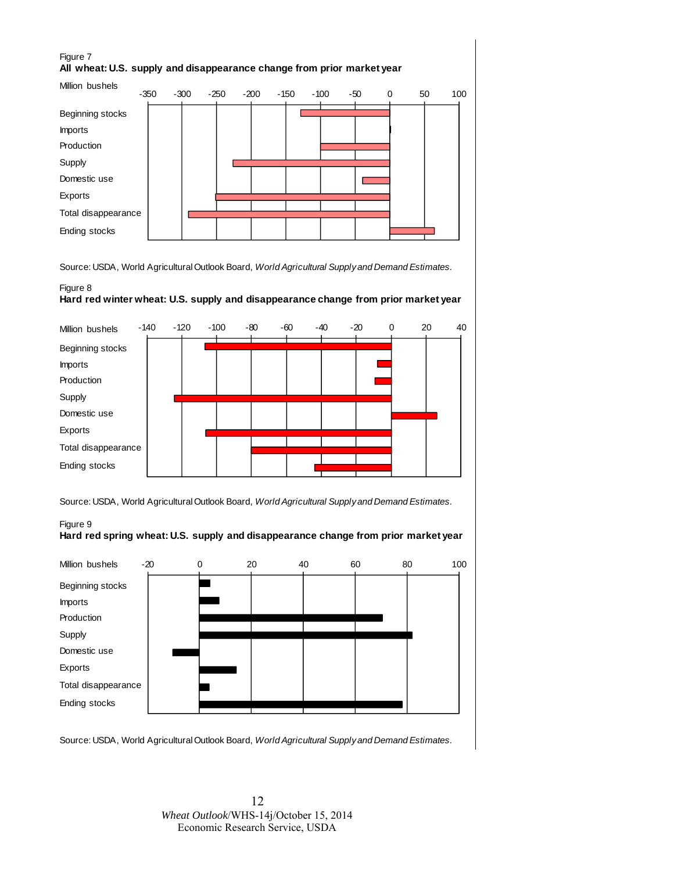# Figure 7 **All wheat: U.S. supply and disappearance change from prior market year**



Source: USDA, World Agricultural Outlook Board, *World Agricultural Supply and Demand Estimates.*

### Figure 8 **Hard red winter wheat: U.S. supply and disappearance change from prior market year**



Source: USDA, World Agricultural Outlook Board, *World Agricultural Supply and Demand Estimates.*

#### Figure 9 **Hard red spring wheat: U.S. supply and disappearance change from prior market year**



Source: USDA, World Agricultural Outlook Board, *World Agricultural Supply and Demand Estimates.*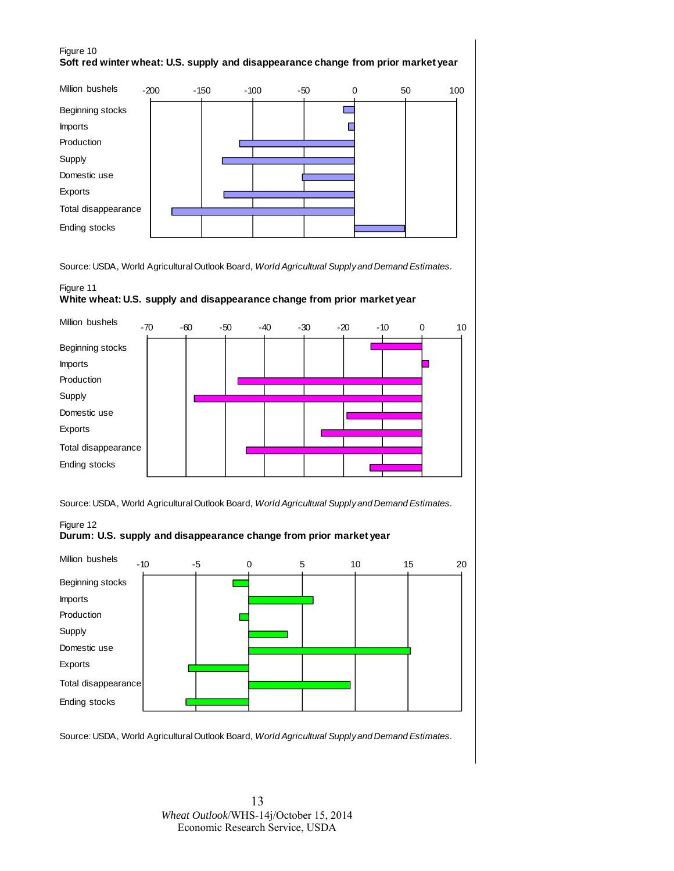### Figure 10 **Soft red winter wheat: U.S. supply and disappearance change from prior market year**



Source: USDA, World Agricultural Outlook Board, *World Agricultural Supply and Demand Estimates.*

### Figure 11

#### **White wheat: U.S. supply and disappearance change from prior market year**





#### Figure 12 **Durum: U.S. supply and disappearance change from prior market year**



Source: USDA, World Agricultural Outlook Board, *World Agricultural Supply and Demand Estimates.*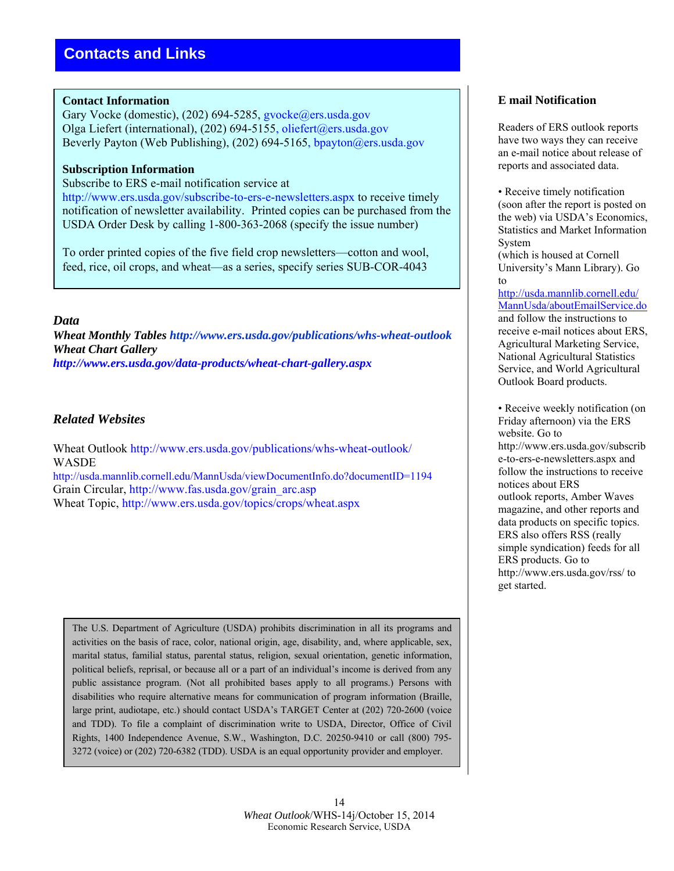### **Contact Information**

Gary Vocke (domestic), (202) 694-5285, gvocke@ers.usda.gov Olga Liefert (international), (202) 694-5155, oliefert@ers.usda.gov Beverly Payton (Web Publishing), (202) 694-5165, bpayton@ers.usda.gov

### **Subscription Information**

Subscribe to ERS e-mail notification service at

http://www.ers.usda.gov/subscribe-to-ers-e-newsletters.aspx to receive timely notification of newsletter availability. Printed copies can be purchased from the USDA Order Desk by calling 1-800-363-2068 (specify the issue number)

To order printed copies of the five field crop newsletters—cotton and wool, feed, rice, oil crops, and wheat—as a series, specify series SUB-COR-4043

### *Data*

*Wheat Monthly Tables http://www.ers.usda.gov/publications/whs-wheat-outlook Wheat Chart Gallery http://www.ers.usda.gov/data-products/wheat-chart-gallery.aspx* 

# *Related Websites*

Wheat Outlook http://www.ers.usda.gov/publications/whs-wheat-outlook/ WASDE http://usda.mannlib.cornell.edu/MannUsda/viewDocumentInfo.do?documentID=1194

Grain Circular, http://www.fas.usda.gov/grain\_arc.asp

Wheat Topic, http://www.ers.usda.gov/topics/crops/wheat.aspx

The U.S. Department of Agriculture (USDA) prohibits discrimination in all its programs and activities on the basis of race, color, national origin, age, disability, and, where applicable, sex, marital status, familial status, parental status, religion, sexual orientation, genetic information, political beliefs, reprisal, or because all or a part of an individual's income is derived from any public assistance program. (Not all prohibited bases apply to all programs.) Persons with disabilities who require alternative means for communication of program information (Braille, large print, audiotape, etc.) should contact USDA's TARGET Center at (202) 720-2600 (voice and TDD). To file a complaint of discrimination write to USDA, Director, Office of Civil Rights, 1400 Independence Avenue, S.W., Washington, D.C. 20250-9410 or call (800) 795- 3272 (voice) or (202) 720-6382 (TDD). USDA is an equal opportunity provider and employer.

# **E mail Notification**

Readers of ERS outlook reports have two ways they can receive an e-mail notice about release of reports and associated data.

• Receive timely notification (soon after the report is posted on the web) via USDA's Economics, Statistics and Market Information System

(which is housed at Cornell University's Mann Library). Go to

http://usda.mannlib.cornell.edu/ MannUsda/aboutEmailService.do and follow the instructions to receive e-mail notices about ERS, Agricultural Marketing Service, National Agricultural Statistics Service, and World Agricultural Outlook Board products.

• Receive weekly notification (on Friday afternoon) via the ERS website. Go to http://www.ers.usda.gov/subscrib e-to-ers-e-newsletters.aspx and follow the instructions to receive notices about ERS outlook reports, Amber Waves magazine, and other reports and data products on specific topics. ERS also offers RSS (really simple syndication) feeds for all ERS products. Go to http://www.ers.usda.gov/rss/ to get started.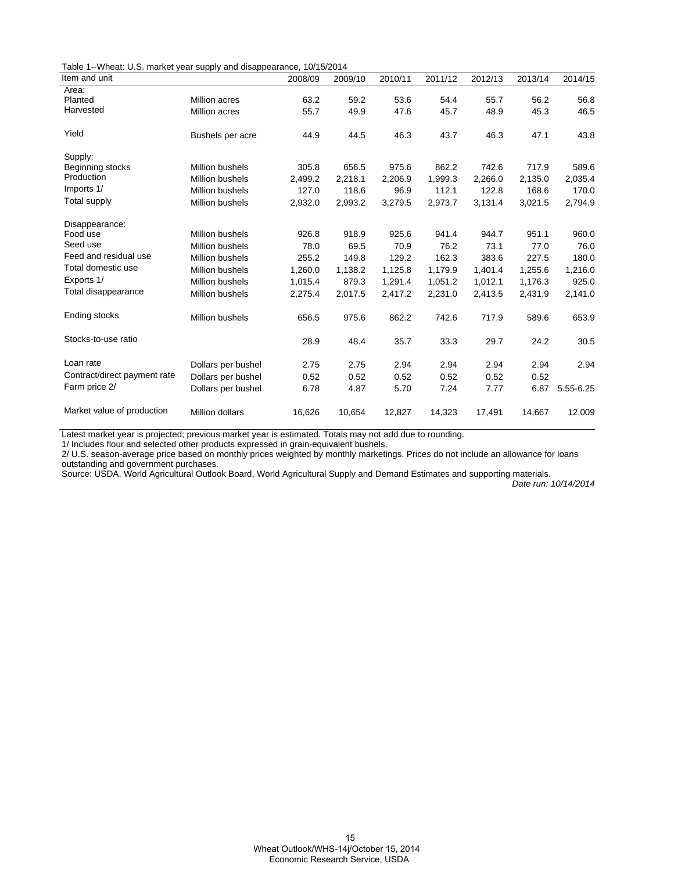Table 1--Wheat: U.S. market year supply and disappearance, 10/15/2014

| Item and unit                |                        | 2008/09 | 2009/10 | 2010/11 | 2011/12 | 2012/13 | 2013/14 | 2014/15   |
|------------------------------|------------------------|---------|---------|---------|---------|---------|---------|-----------|
| Area:                        |                        |         |         |         |         |         |         |           |
| Planted                      | Million acres          | 63.2    | 59.2    | 53.6    | 54.4    | 55.7    | 56.2    | 56.8      |
| Harvested                    | <b>Million acres</b>   | 55.7    | 49.9    | 47.6    | 45.7    | 48.9    | 45.3    | 46.5      |
| Yield                        | Bushels per acre       | 44.9    | 44.5    | 46.3    | 43.7    | 46.3    | 47.1    | 43.8      |
| Supply:                      |                        |         |         |         |         |         |         |           |
| Beginning stocks             | <b>Million bushels</b> | 305.8   | 656.5   | 975.6   | 862.2   | 742.6   | 717.9   | 589.6     |
| Production                   | <b>Million bushels</b> | 2,499.2 | 2,218.1 | 2,206.9 | 1,999.3 | 2,266.0 | 2,135.0 | 2,035.4   |
| Imports 1/                   | <b>Million bushels</b> | 127.0   | 118.6   | 96.9    | 112.1   | 122.8   | 168.6   | 170.0     |
| Total supply                 | <b>Million bushels</b> | 2,932.0 | 2,993.2 | 3,279.5 | 2,973.7 | 3,131.4 | 3,021.5 | 2,794.9   |
| Disappearance:               |                        |         |         |         |         |         |         |           |
| Food use                     | <b>Million bushels</b> | 926.8   | 918.9   | 925.6   | 941.4   | 944.7   | 951.1   | 960.0     |
| Seed use                     | <b>Million bushels</b> | 78.0    | 69.5    | 70.9    | 76.2    | 73.1    | 77.0    | 76.0      |
| Feed and residual use        | <b>Million bushels</b> | 255.2   | 149.8   | 129.2   | 162.3   | 383.6   | 227.5   | 180.0     |
| Total domestic use           | <b>Million bushels</b> | 1,260.0 | 1,138.2 | 1,125.8 | 1,179.9 | 1,401.4 | 1,255.6 | 1,216.0   |
| Exports 1/                   | <b>Million bushels</b> | 1,015.4 | 879.3   | 1,291.4 | 1,051.2 | 1,012.1 | 1,176.3 | 925.0     |
| Total disappearance          | Million bushels        | 2,275.4 | 2,017.5 | 2,417.2 | 2,231.0 | 2,413.5 | 2,431.9 | 2,141.0   |
| Ending stocks                | Million bushels        | 656.5   | 975.6   | 862.2   | 742.6   | 717.9   | 589.6   | 653.9     |
| Stocks-to-use ratio          |                        | 28.9    | 48.4    | 35.7    | 33.3    | 29.7    | 24.2    | 30.5      |
| Loan rate                    | Dollars per bushel     | 2.75    | 2.75    | 2.94    | 2.94    | 2.94    | 2.94    | 2.94      |
| Contract/direct payment rate | Dollars per bushel     | 0.52    | 0.52    | 0.52    | 0.52    | 0.52    | 0.52    |           |
| Farm price 2/                | Dollars per bushel     | 6.78    | 4.87    | 5.70    | 7.24    | 7.77    | 6.87    | 5.55-6.25 |
| Market value of production   | <b>Million dollars</b> | 16,626  | 10,654  | 12,827  | 14,323  | 17,491  | 14,667  | 12,009    |

Latest market year is projected; previous market year is estimated. Totals may not add due to rounding.

1/ Includes flour and selected other products expressed in grain-equivalent bushels.

2/ U.S. season-average price based on monthly prices weighted by monthly marketings. Prices do not include an allowance for loans outstanding and government purchases.

Source: USDA, World Agricultural Outlook Board, World Agricultural Supply and Demand Estimates and supporting materials.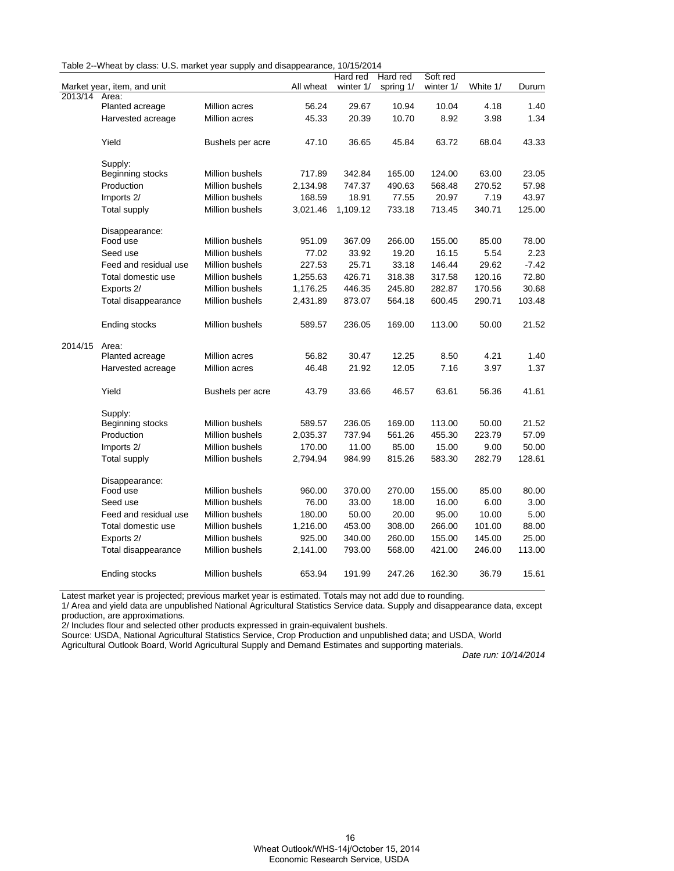|  |  |  | Table 2--Wheat by class: U.S. market year supply and disappearance, 10/15/2014 |  |
|--|--|--|--------------------------------------------------------------------------------|--|
|--|--|--|--------------------------------------------------------------------------------|--|

|         |                             |                        |           | Hard red  | Hard red  | Soft red  |          |         |
|---------|-----------------------------|------------------------|-----------|-----------|-----------|-----------|----------|---------|
|         | Market year, item, and unit |                        | All wheat | winter 1/ | spring 1/ | winter 1/ | White 1/ | Durum   |
| 2013/14 | Area:                       |                        |           |           |           |           |          |         |
|         | Planted acreage             | <b>Million acres</b>   | 56.24     | 29.67     | 10.94     | 10.04     | 4.18     | 1.40    |
|         | Harvested acreage           | Million acres          | 45.33     | 20.39     | 10.70     | 8.92      | 3.98     | 1.34    |
|         |                             |                        |           |           |           |           |          |         |
|         | Yield                       | Bushels per acre       | 47.10     | 36.65     | 45.84     | 63.72     | 68.04    | 43.33   |
|         |                             |                        |           |           |           |           |          |         |
|         | Supply:                     |                        |           |           |           |           |          |         |
|         | Beginning stocks            | Million bushels        | 717.89    | 342.84    | 165.00    | 124.00    | 63.00    | 23.05   |
|         | Production                  | Million bushels        | 2,134.98  | 747.37    | 490.63    | 568.48    | 270.52   | 57.98   |
|         | Imports 2/                  | <b>Million bushels</b> | 168.59    | 18.91     | 77.55     | 20.97     | 7.19     | 43.97   |
|         | Total supply                | <b>Million bushels</b> | 3,021.46  | 1,109.12  | 733.18    | 713.45    | 340.71   | 125.00  |
|         | Disappearance:              |                        |           |           |           |           |          |         |
|         | Food use                    | Million bushels        | 951.09    | 367.09    | 266.00    | 155.00    | 85.00    | 78.00   |
|         | Seed use                    | Million bushels        | 77.02     | 33.92     | 19.20     | 16.15     | 5.54     | 2.23    |
|         | Feed and residual use       | <b>Million bushels</b> | 227.53    | 25.71     | 33.18     | 146.44    | 29.62    | $-7.42$ |
|         | Total domestic use          | Million bushels        | 1,255.63  | 426.71    | 318.38    | 317.58    | 120.16   | 72.80   |
|         | Exports 2/                  | Million bushels        | 1,176.25  | 446.35    | 245.80    | 282.87    | 170.56   | 30.68   |
|         | Total disappearance         | Million bushels        | 2,431.89  | 873.07    | 564.18    | 600.45    | 290.71   | 103.48  |
|         | Ending stocks               | Million bushels        | 589.57    | 236.05    | 169.00    | 113.00    | 50.00    | 21.52   |
| 2014/15 | Area:                       |                        |           |           |           |           |          |         |
|         | Planted acreage             | Million acres          | 56.82     | 30.47     | 12.25     | 8.50      | 4.21     | 1.40    |
|         | Harvested acreage           | Million acres          | 46.48     | 21.92     | 12.05     | 7.16      | 3.97     | 1.37    |
|         |                             |                        |           |           |           |           |          |         |
|         | Yield                       | Bushels per acre       | 43.79     | 33.66     | 46.57     | 63.61     | 56.36    | 41.61   |
|         | Supply:                     |                        |           |           |           |           |          |         |
|         | Beginning stocks            | Million bushels        | 589.57    | 236.05    | 169.00    | 113.00    | 50.00    | 21.52   |
|         | Production                  | Million bushels        | 2,035.37  | 737.94    | 561.26    | 455.30    | 223.79   | 57.09   |
|         | Imports 2/                  | Million bushels        | 170.00    | 11.00     | 85.00     | 15.00     | 9.00     | 50.00   |
|         | Total supply                | Million bushels        | 2,794.94  | 984.99    | 815.26    | 583.30    | 282.79   | 128.61  |
|         | Disappearance:              |                        |           |           |           |           |          |         |
|         | Food use                    | Million bushels        | 960.00    | 370.00    | 270.00    | 155.00    | 85.00    | 80.00   |
|         | Seed use                    | Million bushels        | 76.00     | 33.00     | 18.00     | 16.00     | 6.00     | 3.00    |
|         | Feed and residual use       | Million bushels        | 180.00    | 50.00     | 20.00     | 95.00     | 10.00    | 5.00    |
|         | Total domestic use          | Million bushels        | 1,216.00  | 453.00    | 308.00    | 266.00    | 101.00   | 88.00   |
|         | Exports 2/                  | Million bushels        | 925.00    | 340.00    | 260.00    | 155.00    | 145.00   | 25.00   |
|         | Total disappearance         | Million bushels        | 2,141.00  | 793.00    | 568.00    | 421.00    | 246.00   | 113.00  |
|         | Ending stocks               | Million bushels        | 653.94    | 191.99    | 247.26    | 162.30    | 36.79    | 15.61   |

Latest market year is projected; previous market year is estimated. Totals may not add due to rounding.

1/ Area and yield data are unpublished National Agricultural Statistics Service data. Supply and disappearance data, except production, are approximations.

2/ Includes flour and selected other products expressed in grain-equivalent bushels.

Source: USDA, National Agricultural Statistics Service, Crop Production and unpublished data; and USDA, World

Agricultural Outlook Board, World Agricultural Supply and Demand Estimates and supporting materials.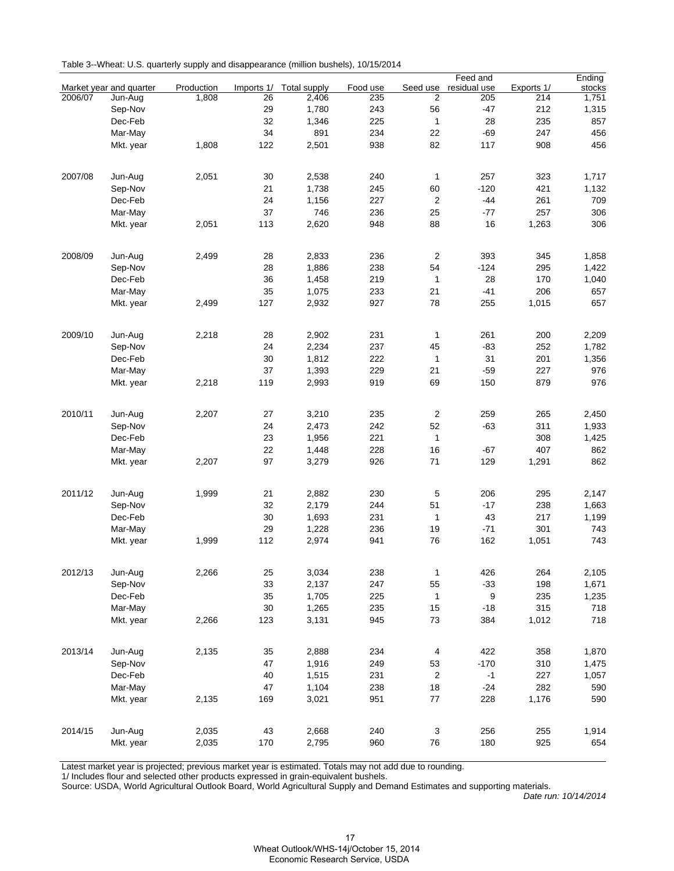|         |                         |            |            |              |          |                         | Feed and     |            | Ending |
|---------|-------------------------|------------|------------|--------------|----------|-------------------------|--------------|------------|--------|
|         | Market year and quarter | Production | Imports 1/ | Total supply | Food use | Seed use                | residual use | Exports 1/ | stocks |
| 2006/07 | Jun-Aug                 | 1,808      | 26         | 2,406        | 235      | $\overline{2}$          | 205          | 214        | 1,751  |
|         | Sep-Nov                 |            | 29         | 1,780        | 243      | 56                      | $-47$        | 212        | 1,315  |
|         | Dec-Feb                 |            | 32         | 1,346        | 225      | $\mathbf{1}$            | 28           | 235        | 857    |
|         | Mar-May                 |            | 34         | 891          | 234      | 22                      | $-69$        | 247        | 456    |
|         | Mkt. year               | 1,808      | 122        | 2,501        | 938      | 82                      | 117          | 908        | 456    |
|         |                         |            |            |              |          |                         |              |            |        |
| 2007/08 | Jun-Aug                 | 2,051      | 30         | 2,538        | 240      | $\mathbf{1}$            | 257          | 323        | 1,717  |
|         |                         |            | 21         | 1,738        | 245      | 60                      | $-120$       | 421        | 1,132  |
|         | Sep-Nov                 |            | 24         |              | 227      | $\sqrt{2}$              | $-44$        | 261        | 709    |
|         | Dec-Feb                 |            | 37         | 1,156<br>746 |          |                         |              | 257        |        |
|         | Mar-May                 |            |            |              | 236      | 25                      | -77          |            | 306    |
|         | Mkt. year               | 2,051      | 113        | 2,620        | 948      | 88                      | 16           | 1,263      | 306    |
|         |                         |            |            |              |          |                         |              |            |        |
| 2008/09 | Jun-Aug                 | 2,499      | 28         | 2,833        | 236      | 2                       | 393          | 345        | 1,858  |
|         | Sep-Nov                 |            | 28         | 1,886        | 238      | 54                      | $-124$       | 295        | 1,422  |
|         | Dec-Feb                 |            | 36         | 1,458        | 219      | 1                       | 28           | 170        | 1,040  |
|         | Mar-May                 |            | 35         | 1,075        | 233      | 21                      | $-41$        | 206        | 657    |
|         | Mkt. year               | 2,499      | 127        | 2,932        | 927      | 78                      | 255          | 1,015      | 657    |
|         |                         |            |            |              |          |                         |              |            |        |
| 2009/10 | Jun-Aug                 | 2,218      | 28         | 2,902        | 231      | 1                       | 261          | 200        | 2,209  |
|         | Sep-Nov                 |            | 24         | 2,234        | 237      | 45                      | $-83$        | 252        | 1,782  |
|         | Dec-Feb                 |            | 30         | 1,812        | 222      | 1                       | 31           | 201        | 1,356  |
|         | Mar-May                 |            | 37         | 1,393        | 229      | 21                      | $-59$        | 227        | 976    |
|         | Mkt. year               | 2,218      | 119        | 2,993        | 919      | 69                      | 150          | 879        | 976    |
|         |                         |            |            |              |          |                         |              |            |        |
| 2010/11 | Jun-Aug                 | 2,207      | 27         | 3,210        | 235      | $\sqrt{2}$              | 259          | 265        | 2,450  |
|         | Sep-Nov                 |            | 24         | 2,473        | 242      | 52                      | $-63$        | 311        | 1,933  |
|         | Dec-Feb                 |            | 23         | 1,956        | 221      | $\mathbf{1}$            |              | 308        | 1,425  |
|         | Mar-May                 |            | 22         | 1,448        | 228      | 16                      | -67          | 407        | 862    |
|         | Mkt. year               | 2,207      | 97         | 3,279        | 926      | 71                      | 129          | 1,291      | 862    |
|         |                         |            |            |              |          |                         |              |            |        |
| 2011/12 | Jun-Aug                 | 1,999      | 21         | 2,882        | 230      | 5                       | 206          | 295        | 2,147  |
|         | Sep-Nov                 |            | 32         | 2,179        | 244      | 51                      | $-17$        | 238        | 1,663  |
|         | Dec-Feb                 |            | 30         | 1,693        | 231      | 1                       | 43           | 217        | 1,199  |
|         | Mar-May                 |            | 29         | 1,228        | 236      | 19                      | $-71$        | 301        | 743    |
|         |                         | 1,999      | 112        | 2,974        | 941      | 76                      | 162          | 1,051      | 743    |
|         | Mkt. year               |            |            |              |          |                         |              |            |        |
| 2012/13 | Jun-Aug                 | 2,266      | 25         | 3,034        | 238      | $\mathbf{1}$            | 426          | 264        | 2,105  |
|         |                         |            |            |              |          |                         |              |            |        |
|         | Sep-Nov                 |            | 33         | 2,137        | 247      | 55                      | $-33$        | 198        | 1,671  |
|         | Dec-Feb                 |            | 35         | 1,705        | 225      | 1                       | 9            | 235        | 1,235  |
|         | Mar-May                 |            | 30         | 1,265        | 235      | 15                      | $-18$        | 315        | 718    |
|         | Mkt. year               | 2,266      | 123        | 3,131        | 945      | 73                      | 384          | 1,012      | 718    |
|         |                         |            |            |              |          |                         |              |            |        |
| 2013/14 | Jun-Aug                 | 2,135      | 35         | 2,888        | 234      | $\overline{\mathbf{4}}$ | 422          | 358        | 1,870  |
|         | Sep-Nov                 |            | 47         | 1,916        | 249      | 53                      | $-170$       | 310        | 1,475  |
|         | Dec-Feb                 |            | 40         | 1,515        | 231      | $\overline{2}$          | $-1$         | 227        | 1,057  |
|         | Mar-May                 |            | 47         | 1,104        | 238      | 18                      | $-24$        | 282        | 590    |
|         | Mkt. year               | 2,135      | 169        | 3,021        | 951      | 77                      | 228          | 1,176      | 590    |
|         |                         |            |            |              |          |                         |              |            |        |
| 2014/15 | Jun-Aug                 | 2,035      | 43         | 2,668        | 240      | 3                       | 256          | 255        | 1,914  |
|         | Mkt. year               | 2,035      | 170        | 2,795        | 960      | 76                      | 180          | 925        | 654    |
|         |                         |            |            |              |          |                         |              |            |        |

Latest market year is projected; previous market year is estimated. Totals may not add due to rounding.

1/ Includes flour and selected other products expressed in grain-equivalent bushels.

Source: USDA, World Agricultural Outlook Board, World Agricultural Supply and Demand Estimates and supporting materials.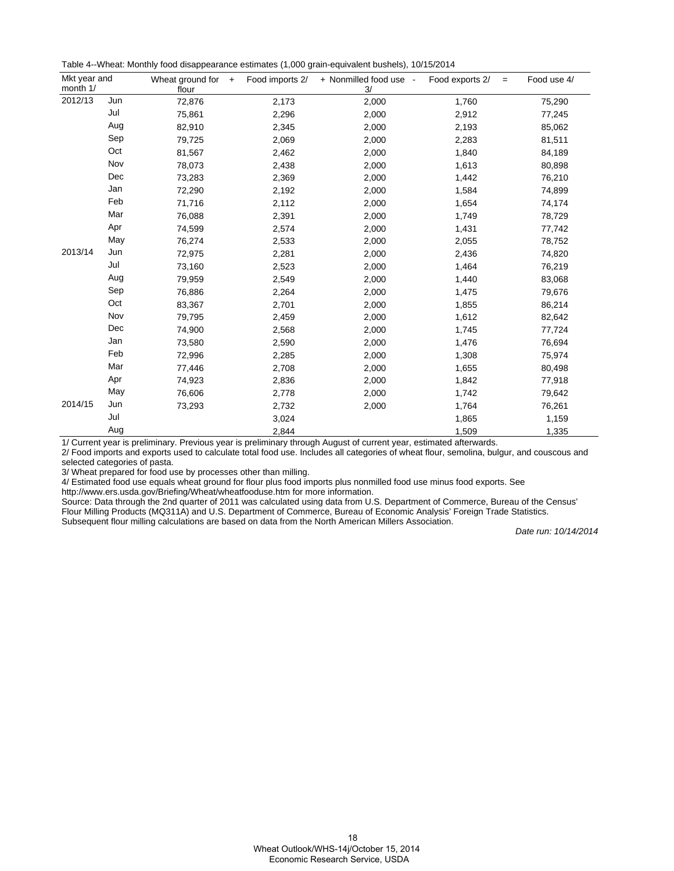Table 4--Wheat: Monthly food disappearance estimates (1,000 grain-equivalent bushels), 10/15/2014

| Mkt year and<br>month 1/ |     | Wheat ground for<br>$+$<br>flour | Food imports 2/ | + Nonmilled food use -<br>3/ | Food exports 2/<br>$=$ | Food use 4/ |
|--------------------------|-----|----------------------------------|-----------------|------------------------------|------------------------|-------------|
| 2012/13                  | Jun | 72,876                           | 2,173           | 2,000                        | 1,760                  | 75,290      |
|                          | Jul | 75,861                           | 2,296           | 2,000                        | 2,912                  | 77,245      |
|                          | Aug | 82,910                           | 2,345           | 2,000                        | 2,193                  | 85,062      |
|                          | Sep | 79,725                           | 2,069           | 2,000                        | 2,283                  | 81,511      |
|                          | Oct | 81,567                           | 2,462           | 2,000                        | 1,840                  | 84,189      |
|                          | Nov | 78,073                           | 2,438           | 2,000                        | 1,613                  | 80,898      |
|                          | Dec | 73,283                           | 2,369           | 2,000                        | 1,442                  | 76,210      |
|                          | Jan | 72,290                           | 2,192           | 2,000                        | 1,584                  | 74,899      |
|                          | Feb | 71,716                           | 2,112           | 2,000                        | 1,654                  | 74,174      |
|                          | Mar | 76,088                           | 2,391           | 2,000                        | 1,749                  | 78,729      |
|                          | Apr | 74,599                           | 2,574           | 2,000                        | 1,431                  | 77,742      |
|                          | May | 76,274                           | 2,533           | 2,000                        | 2,055                  | 78,752      |
| 2013/14                  | Jun | 72,975                           | 2,281           | 2,000                        | 2,436                  | 74,820      |
|                          | Jul | 73,160                           | 2,523           | 2,000                        | 1,464                  | 76,219      |
|                          | Aug | 79,959                           | 2,549           | 2,000                        | 1,440                  | 83,068      |
|                          | Sep | 76,886                           | 2,264           | 2,000                        | 1,475                  | 79,676      |
|                          | Oct | 83,367                           | 2,701           | 2,000                        | 1,855                  | 86,214      |
|                          | Nov | 79,795                           | 2,459           | 2,000                        | 1,612                  | 82,642      |
|                          | Dec | 74,900                           | 2,568           | 2,000                        | 1,745                  | 77,724      |
|                          | Jan | 73,580                           | 2,590           | 2,000                        | 1,476                  | 76,694      |
|                          | Feb | 72,996                           | 2,285           | 2,000                        | 1,308                  | 75,974      |
|                          | Mar | 77,446                           | 2,708           | 2,000                        | 1,655                  | 80,498      |
|                          | Apr | 74,923                           | 2,836           | 2,000                        | 1,842                  | 77,918      |
|                          | May | 76,606                           | 2,778           | 2,000                        | 1,742                  | 79,642      |
| 2014/15                  | Jun | 73,293                           | 2,732           | 2,000                        | 1,764                  | 76,261      |
|                          | Jul |                                  | 3,024           |                              | 1,865                  | 1,159       |
|                          | Aug |                                  | 2,844           |                              | 1,509                  | 1,335       |

1/ Current year is preliminary. Previous year is preliminary through August of current year, estimated afterwards.

2/ Food imports and exports used to calculate total food use. Includes all categories of wheat flour, semolina, bulgur, and couscous and selected categories of pasta.

3/ Wheat prepared for food use by processes other than milling.

4/ Estimated food use equals wheat ground for flour plus food imports plus nonmilled food use minus food exports. See

http://www.ers.usda.gov/Briefing/Wheat/wheatfooduse.htm for more information.

Source: Data through the 2nd quarter of 2011 was calculated using data from U.S. Department of Commerce, Bureau of the Census' Flour Milling Products (MQ311A) and U.S. Department of Commerce, Bureau of Economic Analysis' Foreign Trade Statistics. Subsequent flour milling calculations are based on data from the North American Millers Association.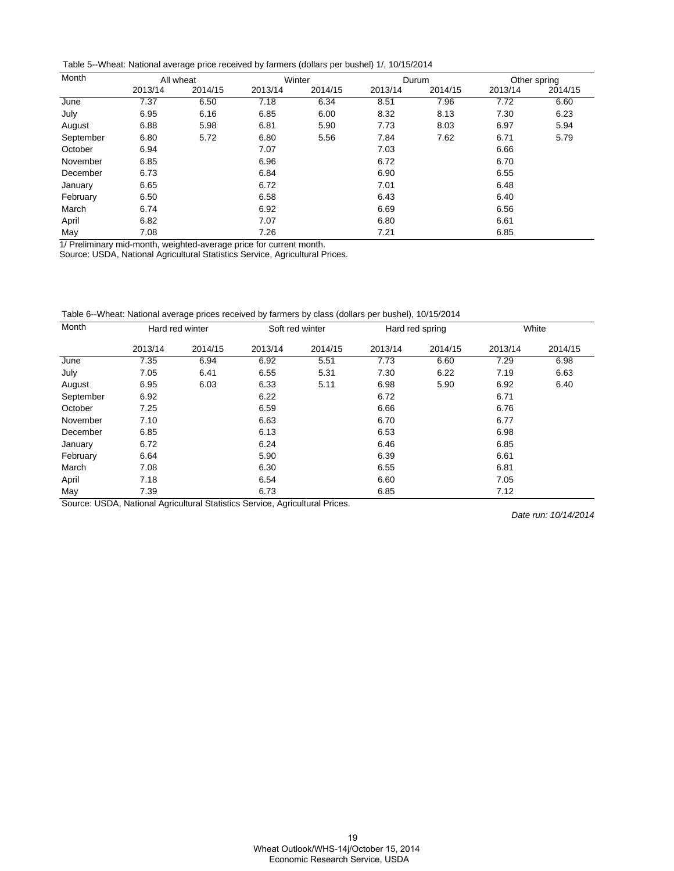Table 5--Wheat: National average price received by farmers (dollars per bushel) 1/, 10/15/2014

| Month     | All wheat |         |         | Winter  |         | Durum   | Other spring |         |
|-----------|-----------|---------|---------|---------|---------|---------|--------------|---------|
|           | 2013/14   | 2014/15 | 2013/14 | 2014/15 | 2013/14 | 2014/15 | 2013/14      | 2014/15 |
| June      | 7.37      | 6.50    | 7.18    | 6.34    | 8.51    | 7.96    | 7.72         | 6.60    |
| July      | 6.95      | 6.16    | 6.85    | 6.00    | 8.32    | 8.13    | 7.30         | 6.23    |
| August    | 6.88      | 5.98    | 6.81    | 5.90    | 7.73    | 8.03    | 6.97         | 5.94    |
| September | 6.80      | 5.72    | 6.80    | 5.56    | 7.84    | 7.62    | 6.71         | 5.79    |
| October   | 6.94      |         | 7.07    |         | 7.03    |         | 6.66         |         |
| November  | 6.85      |         | 6.96    |         | 6.72    |         | 6.70         |         |
| December  | 6.73      |         | 6.84    |         | 6.90    |         | 6.55         |         |
| January   | 6.65      |         | 6.72    |         | 7.01    |         | 6.48         |         |
| February  | 6.50      |         | 6.58    |         | 6.43    |         | 6.40         |         |
| March     | 6.74      |         | 6.92    |         | 6.69    |         | 6.56         |         |
| April     | 6.82      |         | 7.07    |         | 6.80    |         | 6.61         |         |
| May       | 7.08      |         | 7.26    |         | 7.21    |         | 6.85         |         |

1/ Preliminary mid-month, weighted-average price for current month.

Source: USDA, National Agricultural Statistics Service, Agricultural Prices.

Table 6--Wheat: National average prices received by farmers by class (dollars per bushel), 10/15/2014

| Month     | Hard red winter |         | Soft red winter |         | Hard red spring |         | White   |         |
|-----------|-----------------|---------|-----------------|---------|-----------------|---------|---------|---------|
|           | 2013/14         | 2014/15 | 2013/14         | 2014/15 | 2013/14         | 2014/15 | 2013/14 | 2014/15 |
| June      | 7.35            | 6.94    | 6.92            | 5.51    | 7.73            | 6.60    | 7.29    | 6.98    |
| July      | 7.05            | 6.41    | 6.55            | 5.31    | 7.30            | 6.22    | 7.19    | 6.63    |
| August    | 6.95            | 6.03    | 6.33            | 5.11    | 6.98            | 5.90    | 6.92    | 6.40    |
| September | 6.92            |         | 6.22            |         | 6.72            |         | 6.71    |         |
| October   | 7.25            |         | 6.59            |         | 6.66            |         | 6.76    |         |
| November  | 7.10            |         | 6.63            |         | 6.70            |         | 6.77    |         |
| December  | 6.85            |         | 6.13            |         | 6.53            |         | 6.98    |         |
| January   | 6.72            |         | 6.24            |         | 6.46            |         | 6.85    |         |
| February  | 6.64            |         | 5.90            |         | 6.39            |         | 6.61    |         |
| March     | 7.08            |         | 6.30            |         | 6.55            |         | 6.81    |         |
| April     | 7.18            |         | 6.54            |         | 6.60            |         | 7.05    |         |
| May       | 7.39            |         | 6.73            |         | 6.85            |         | 7.12    |         |

Source: USDA, National Agricultural Statistics Service, Agricultural Prices.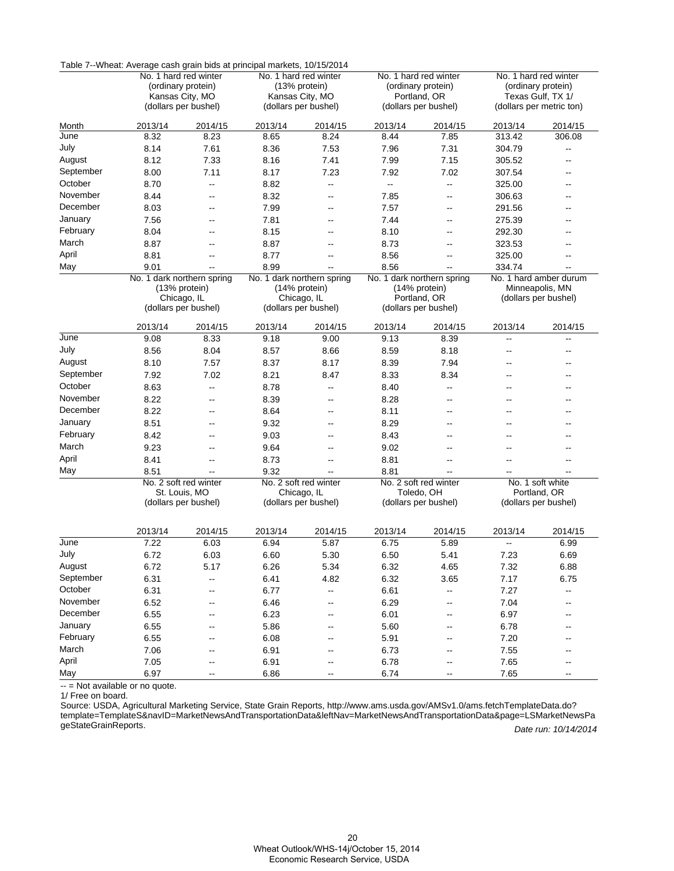|           | Table 7--VVneat: Average cash grain bids at principal markets, 10/15/2014 |                                         |                            |                          |                            |                       |                        |                          |  |
|-----------|---------------------------------------------------------------------------|-----------------------------------------|----------------------------|--------------------------|----------------------------|-----------------------|------------------------|--------------------------|--|
|           | No. 1 hard red winter                                                     |                                         | No. 1 hard red winter      |                          | No. 1 hard red winter      |                       | No. 1 hard red winter  |                          |  |
|           | (ordinary protein)                                                        |                                         | (13% protein)              |                          |                            | (ordinary protein)    | (ordinary protein)     |                          |  |
|           |                                                                           | Kansas City, MO<br>(dollars per bushel) |                            | Kansas City, MO          |                            | Portland, OR          |                        | Texas Gulf, TX 1/        |  |
|           |                                                                           |                                         |                            | (dollars per bushel)     |                            | (dollars per bushel)  |                        | (dollars per metric ton) |  |
| Month     | 2013/14                                                                   | 2014/15                                 | 2013/14                    | 2014/15                  | 2013/14                    | 2014/15               | 2013/14                | 2014/15                  |  |
| June      | 8.32                                                                      | 8.23                                    | 8.65                       | 8.24                     | 8.44                       | 7.85                  | 313.42                 | 306.08                   |  |
| July      | 8.14                                                                      | 7.61                                    | 8.36                       | 7.53                     | 7.96                       | 7.31                  | 304.79                 | $\overline{a}$           |  |
| August    | 8.12                                                                      | 7.33                                    | 8.16                       | 7.41                     | 7.99                       | 7.15                  | 305.52                 | --                       |  |
| September | 8.00                                                                      | 7.11                                    | 8.17                       | 7.23                     | 7.92                       | 7.02                  | 307.54                 | --                       |  |
| October   | 8.70                                                                      | --                                      | 8.82                       | --                       | --                         | -−                    | 325.00                 | --                       |  |
| November  | 8.44                                                                      | --                                      | 8.32                       | --                       | 7.85                       | --                    | 306.63                 | --                       |  |
| December  | 8.03                                                                      | $-$                                     | 7.99                       | $\overline{\phantom{a}}$ | 7.57                       | $\overline{a}$        | 291.56                 | $\overline{a}$           |  |
| January   | 7.56                                                                      | --                                      | 7.81                       | --                       | 7.44                       | --                    | 275.39                 | --                       |  |
| February  | 8.04                                                                      | --                                      | 8.15                       | --                       | 8.10                       | --                    | 292.30                 | --                       |  |
| March     | 8.87                                                                      | --                                      | 8.87                       | --                       | 8.73                       | --                    | 323.53                 | --                       |  |
| April     | 8.81                                                                      | Щ,                                      | 8.77                       | $-$                      | 8.56                       | --                    | 325.00                 | --                       |  |
| May       | 9.01                                                                      | Ξ.                                      | 8.99                       | $-$                      | 8.56                       | --                    | 334.74                 |                          |  |
|           |                                                                           | No. 1 dark northern spring              | No. 1 dark northern spring |                          | No. 1 dark northern spring |                       | No. 1 hard amber durum |                          |  |
|           |                                                                           | (13% protein)                           |                            | (14% protein)            |                            | (14% protein)         |                        | Minneapolis, MN          |  |
|           |                                                                           | Chicago, IL                             | Chicago, IL                |                          |                            | Portland, OR          |                        | (dollars per bushel)     |  |
|           |                                                                           | (dollars per bushel)                    | (dollars per bushel)       |                          | (dollars per bushel)       |                       |                        |                          |  |
|           | 2013/14                                                                   | 2014/15                                 | 2013/14                    | 2014/15                  | 2013/14                    | 2014/15               | 2013/14                | 2014/15                  |  |
| June      | 9.08                                                                      | 8.33                                    | 9.18                       | 9.00                     | 9.13                       | 8.39                  | Щ,                     | $\overline{\phantom{a}}$ |  |
| July      | 8.56                                                                      | 8.04                                    | 8.57                       | 8.66                     | 8.59                       | 8.18                  | --                     | --                       |  |
| August    | 8.10                                                                      | 7.57                                    | 8.37                       | 8.17                     | 8.39                       | 7.94                  | $\overline{a}$         | $-$                      |  |
| September | 7.92                                                                      | 7.02                                    | 8.21                       | 8.47                     | 8.33                       | 8.34                  | --                     |                          |  |
| October   | 8.63                                                                      | -−                                      | 8.78                       | --                       | 8.40                       | --                    | --                     |                          |  |
| November  | 8.22                                                                      | --                                      | 8.39                       | --                       | 8.28                       | --                    | --                     | --                       |  |
| December  | 8.22                                                                      | --                                      | 8.64                       | --                       | 8.11                       | --                    | --                     | --                       |  |
| January   | 8.51                                                                      | --                                      | 9.32                       | --                       | 8.29                       | --                    | --                     |                          |  |
| February  | 8.42                                                                      | --                                      | 9.03                       | $\overline{a}$           | 8.43                       | $\overline{a}$        | --                     | $-$                      |  |
| March     | 9.23                                                                      | --                                      | 9.64                       | --                       | 9.02                       | --                    | --                     |                          |  |
| April     | 8.41                                                                      | --                                      | 8.73                       | --                       | 8.81                       | --                    | --                     | --                       |  |
| May       | 8.51                                                                      | Щ,                                      | 9.32                       | --                       | 8.81                       | Щ,                    |                        | $\overline{\phantom{a}}$ |  |
|           |                                                                           | No. 2 soft red winter                   |                            | No. 2 soft red winter    |                            | No. 2 soft red winter |                        | No. 1 soft white         |  |
|           | St. Louis, MO                                                             |                                         | Chicago, IL                |                          | Toledo, OH                 |                       | Portland, OR           |                          |  |
|           | (dollars per bushel)                                                      |                                         | (dollars per bushel)       |                          | (dollars per bushel)       |                       | (dollars per bushel)   |                          |  |
|           |                                                                           |                                         |                            |                          |                            |                       |                        |                          |  |
|           | 2013/14                                                                   | 2014/15                                 | 2013/14                    | 2014/15                  | 2013/14                    | 2014/15               | 2013/14                | 2014/15                  |  |
| June      | 7.22                                                                      | 6.03                                    | 6.94                       | 5.87                     | 6.75                       | 5.89                  | --                     | 6.99                     |  |
| July      | 6.72                                                                      | 6.03                                    | 6.60                       | 5.30                     | 6.50                       | 5.41                  | 7.23                   | 6.69                     |  |
| August    | 6.72                                                                      | 5.17                                    | 6.26                       | 5.34                     | 6.32                       | 4.65                  | 7.32                   | 6.88                     |  |
| September | 6.31                                                                      | --                                      | 6.41                       | 4.82                     | 6.32                       | 3.65                  | 7.17                   | 6.75                     |  |
| October   | 6.31                                                                      | --                                      | 6.77                       | Ξ.                       | 6.61                       | --                    | 7.27                   | Ξ.                       |  |
| November  | 6.52                                                                      | --                                      | 6.46                       | --                       | 6.29                       | --                    | 7.04                   | --                       |  |
| December  | 6.55                                                                      | --                                      | 6.23                       | $\overline{\phantom{a}}$ | 6.01                       | --                    | 6.97                   | --                       |  |
| January   | 6.55                                                                      | --                                      | 5.86                       | --                       | 5.60                       | --                    | 6.78                   |                          |  |
| February  | 6.55                                                                      | --                                      | 6.08                       | --                       | 5.91                       | --                    | 7.20                   |                          |  |
| March     | 7.06                                                                      | --                                      | 6.91                       | $\overline{\phantom{a}}$ | 6.73                       | --                    | 7.55                   | --                       |  |
| April     | 7.05                                                                      | --                                      | 6.91                       | --                       | 6.78                       | --                    | 7.65                   | --                       |  |
| May       | 6.97                                                                      | --                                      | 6.86                       | --                       | 6.74                       | --                    | 7.65                   | $\overline{\phantom{a}}$ |  |

Table 7--Wheat: Average cash grain bids at principal markets, 10/15/2014

-- = Not available or no quote. Ĭ.

1/ Free on board.

Date run: 10/14/2014 Source: USDA, Agricultural Marketing Service, State Grain Reports, http://www.ams.usda.gov/AMSv1.0/ams.fetchTemplateData.do? [template=TemplateS&navID=MarketNewsAndTransportationData&leftNav=MarketNewsAndTransportationData&page=LSMarketNewsPa](http://www.ams.usda.gov/AMSv1.0/ams.fetchTemplateData.do?template=TemplateS&navID=MarketNewsAndTransportationData&leftNav=MarketNewsAndTransportationData&page=LSMarketNewsPageStateGrainReports) geStateGrainReports.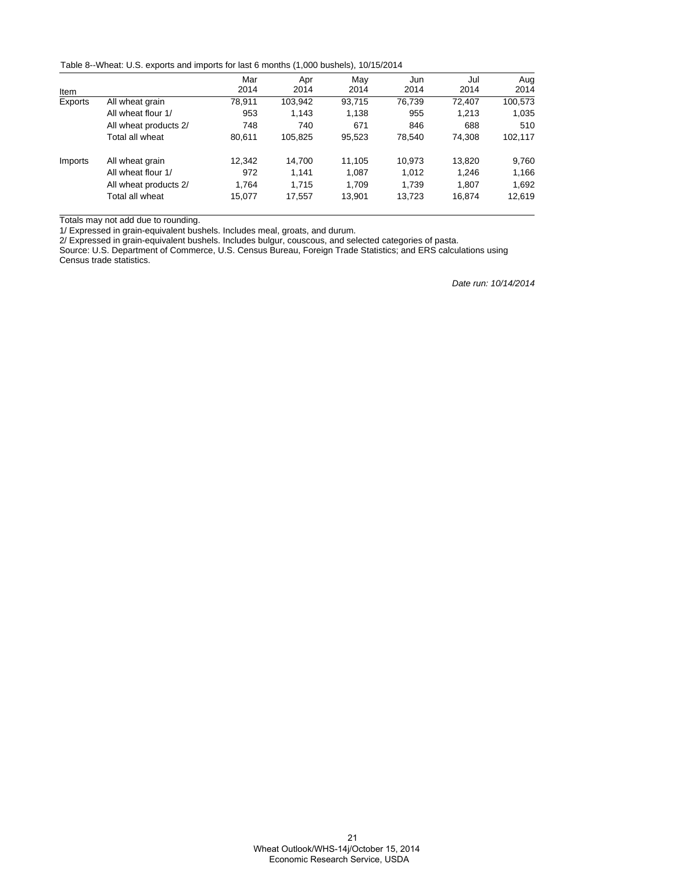Table 8--Wheat: U.S. exports and imports for last 6 months (1,000 bushels), 10/15/2014

|         |                       | Mar    | Apr     | May    | Jun    | Jul    | Aug     |
|---------|-----------------------|--------|---------|--------|--------|--------|---------|
| Item    |                       | 2014   | 2014    | 2014   | 2014   | 2014   | 2014    |
| Exports | All wheat grain       | 78.911 | 103,942 | 93,715 | 76.739 | 72,407 | 100,573 |
|         | All wheat flour 1/    | 953    | 1,143   | 1,138  | 955    | 1.213  | 1,035   |
|         | All wheat products 2/ | 748    | 740     | 671    | 846    | 688    | 510     |
|         | Total all wheat       | 80.611 | 105,825 | 95,523 | 78.540 | 74.308 | 102,117 |
| Imports | All wheat grain       | 12.342 | 14.700  | 11.105 | 10.973 | 13,820 | 9,760   |
|         | All wheat flour 1/    | 972    | 1.141   | 1,087  | 1,012  | 1,246  | 1,166   |
|         | All wheat products 2/ | 1.764  | 1.715   | 1.709  | 1.739  | 1.807  | 1,692   |
|         | Total all wheat       | 15,077 | 17,557  | 13,901 | 13,723 | 16,874 | 12,619  |

Totals may not add due to rounding.

1/ Expressed in grain-equivalent bushels. Includes meal, groats, and durum.

2/ Expressed in grain-equivalent bushels. Includes bulgur, couscous, and selected categories of pasta.

Source: U.S. Department of Commerce, U.S. Census Bureau, Foreign Trade Statistics; and ERS calculations using Census trade statistics.